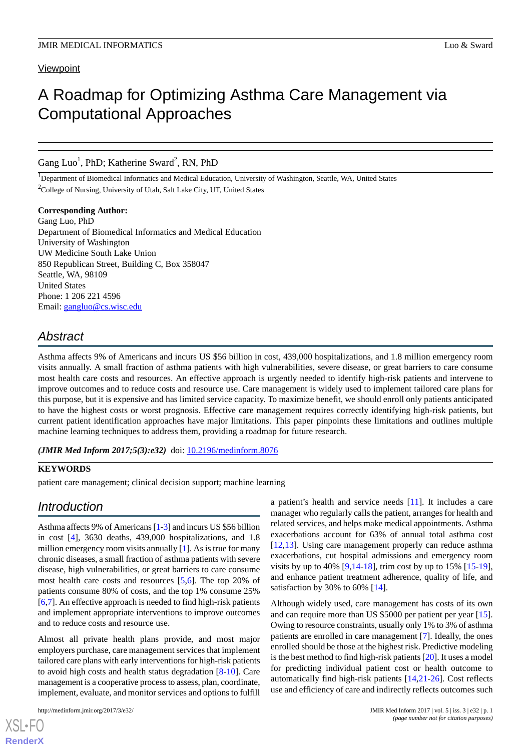## **Viewpoint**

# A Roadmap for Optimizing Asthma Care Management via Computational Approaches

Gang Luo<sup>1</sup>, PhD; Katherine Sward<sup>2</sup>, RN, PhD

<sup>1</sup>Department of Biomedical Informatics and Medical Education, University of Washington, Seattle, WA, United States <sup>2</sup>College of Nursing, University of Utah, Salt Lake City, UT, United States

**Corresponding Author:**

Gang Luo, PhD Department of Biomedical Informatics and Medical Education University of Washington UW Medicine South Lake Union 850 Republican Street, Building C, Box 358047 Seattle, WA, 98109 United States Phone: 1 206 221 4596 Email: [gangluo@cs.wisc.edu](mailto:gangluo@cs.wisc.edu)

## *Abstract*

Asthma affects 9% of Americans and incurs US \$56 billion in cost, 439,000 hospitalizations, and 1.8 million emergency room visits annually. A small fraction of asthma patients with high vulnerabilities, severe disease, or great barriers to care consume most health care costs and resources. An effective approach is urgently needed to identify high-risk patients and intervene to improve outcomes and to reduce costs and resource use. Care management is widely used to implement tailored care plans for this purpose, but it is expensive and has limited service capacity. To maximize benefit, we should enroll only patients anticipated to have the highest costs or worst prognosis. Effective care management requires correctly identifying high-risk patients, but current patient identification approaches have major limitations. This paper pinpoints these limitations and outlines multiple machine learning techniques to address them, providing a roadmap for future research.

(JMIR Med Inform 2017;5(3):e32) doi: [10.2196/medinform.8076](http://dx.doi.org/10.2196/medinform.8076)

## **KEYWORDS**

patient care management; clinical decision support; machine learning

## *Introduction*

Asthma affects 9% of Americans [\[1](#page-7-0)[-3](#page-7-1)] and incurs US \$56 billion in cost [\[4](#page-7-2)], 3630 deaths, 439,000 hospitalizations, and 1.8 million emergency room visits annually [\[1](#page-7-0)]. As is true for many chronic diseases, a small fraction of asthma patients with severe disease, high vulnerabilities, or great barriers to care consume most health care costs and resources [\[5](#page-7-3),[6\]](#page-7-4). The top 20% of patients consume 80% of costs, and the top 1% consume 25% [[6](#page-7-4)[,7](#page-7-5)]. An effective approach is needed to find high-risk patients and implement appropriate interventions to improve outcomes and to reduce costs and resource use.

Almost all private health plans provide, and most major employers purchase, care management services that implement tailored care plans with early interventions for high-risk patients to avoid high costs and health status degradation [[8-](#page-7-6)[10\]](#page-7-7). Care management is a cooperative process to assess, plan, coordinate, implement, evaluate, and monitor services and options to fulfill

a patient's health and service needs [[11\]](#page-7-8). It includes a care manager who regularly calls the patient, arranges for health and related services, and helps make medical appointments. Asthma exacerbations account for 63% of annual total asthma cost [[12,](#page-7-9)[13\]](#page-7-10). Using care management properly can reduce asthma exacerbations, cut hospital admissions and emergency room visits by up to 40%  $[9,14-18]$  $[9,14-18]$  $[9,14-18]$  $[9,14-18]$  $[9,14-18]$ , trim cost by up to 15%  $[15-19]$  $[15-19]$  $[15-19]$ , and enhance patient treatment adherence, quality of life, and satisfaction by 30% to 60% [\[14](#page-7-12)].

Although widely used, care management has costs of its own and can require more than US \$5000 per patient per year [[15\]](#page-7-14). Owing to resource constraints, usually only 1% to 3% of asthma patients are enrolled in care management [\[7](#page-7-5)]. Ideally, the ones enrolled should be those at the highest risk. Predictive modeling is the best method to find high-risk patients [[20\]](#page-8-0). It uses a model for predicting individual patient cost or health outcome to automatically find high-risk patients [\[14](#page-7-12),[21-](#page-8-1)[26\]](#page-8-2). Cost reflects use and efficiency of care and indirectly reflects outcomes such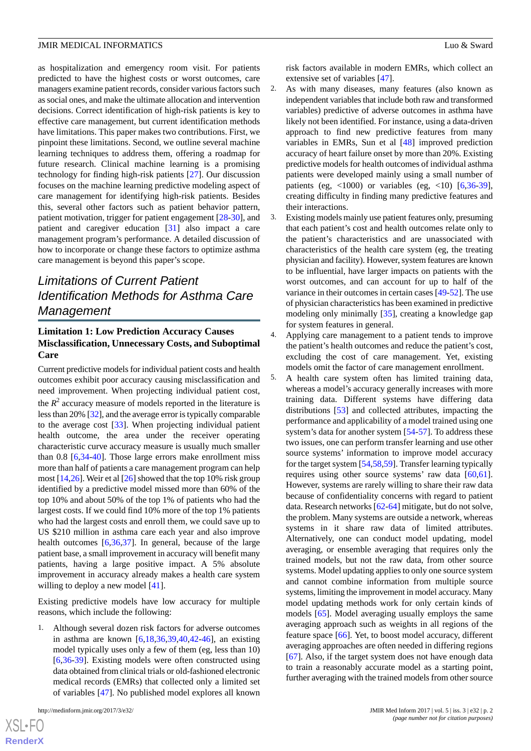as hospitalization and emergency room visit. For patients predicted to have the highest costs or worst outcomes, care managers examine patient records, consider various factors such as social ones, and make the ultimate allocation and intervention decisions. Correct identification of high-risk patients is key to effective care management, but current identification methods have limitations. This paper makes two contributions. First, we pinpoint these limitations. Second, we outline several machine learning techniques to address them, offering a roadmap for future research. Clinical machine learning is a promising technology for finding high-risk patients [[27\]](#page-8-3). Our discussion focuses on the machine learning predictive modeling aspect of care management for identifying high-risk patients. Besides this, several other factors such as patient behavior pattern, patient motivation, trigger for patient engagement [[28-](#page-8-4)[30](#page-8-5)], and patient and caregiver education [\[31](#page-8-6)] also impact a care management program's performance. A detailed discussion of how to incorporate or change these factors to optimize asthma care management is beyond this paper's scope.

## *Limitations of Current Patient Identification Methods for Asthma Care Management*

## **Limitation 1: Low Prediction Accuracy Causes Misclassification, Unnecessary Costs, and Suboptimal Care**

Current predictive models for individual patient costs and health outcomes exhibit poor accuracy causing misclassification and need improvement. When projecting individual patient cost, the  $R<sup>2</sup>$  accuracy measure of models reported in the literature is less than 20% [\[32\]](#page-8-7), and the average error is typically comparable to the average cost [\[33](#page-8-8)]. When projecting individual patient health outcome, the area under the receiver operating characteristic curve accuracy measure is usually much smaller than 0.8 [[6,](#page-7-4)[34](#page-8-9)-[40\]](#page-8-10). Those large errors make enrollment miss more than half of patients a care management program can help most [\[14](#page-7-12)[,26](#page-8-2)]. Weir et al [\[26](#page-8-2)] showed that the top 10% risk group identified by a predictive model missed more than 60% of the top 10% and about 50% of the top 1% of patients who had the largest costs. If we could find 10% more of the top 1% patients who had the largest costs and enroll them, we could save up to US \$210 million in asthma care each year and also improve health outcomes [\[6](#page-7-4),[36](#page-8-11)[,37](#page-8-12)]. In general, because of the large patient base, a small improvement in accuracy will benefit many patients, having a large positive impact. A 5% absolute improvement in accuracy already makes a health care system willing to deploy a new model [[41\]](#page-8-13).

Existing predictive models have low accuracy for multiple reasons, which include the following:

1. Although several dozen risk factors for adverse outcomes in asthma are known [\[6](#page-7-4),[18](#page-7-13)[,36](#page-8-11),[39](#page-8-14)[,40](#page-8-10),[42](#page-9-0)[-46](#page-9-1)], an existing model typically uses only a few of them (eg, less than 10) [[6](#page-7-4)[,36](#page-8-11)-[39\]](#page-8-14). Existing models were often constructed using data obtained from clinical trials or old-fashioned electronic medical records (EMRs) that collected only a limited set of variables [\[47](#page-9-2)]. No published model explores all known

risk factors available in modern EMRs, which collect an extensive set of variables [\[47](#page-9-2)].

- 2. As with many diseases, many features (also known as independent variables that include both raw and transformed variables) predictive of adverse outcomes in asthma have likely not been identified. For instance, using a data-driven approach to find new predictive features from many variables in EMRs, Sun et al [\[48](#page-9-3)] improved prediction accuracy of heart failure onset by more than 20%. Existing predictive models for health outcomes of individual asthma patients were developed mainly using a small number of patients (eg,  $<1000$ ) or variables (eg,  $<10$ ) [\[6](#page-7-4),[36-](#page-8-11)[39\]](#page-8-14), creating difficulty in finding many predictive features and their interactions.
- 3. Existing models mainly use patient features only, presuming that each patient's cost and health outcomes relate only to the patient's characteristics and are unassociated with characteristics of the health care system (eg, the treating physician and facility). However, system features are known to be influential, have larger impacts on patients with the worst outcomes, and can account for up to half of the variance in their outcomes in certain cases [\[49](#page-9-4)[-52](#page-9-5)]. The use of physician characteristics has been examined in predictive modeling only minimally [[35\]](#page-8-15), creating a knowledge gap for system features in general.

4. Applying care management to a patient tends to improve the patient's health outcomes and reduce the patient's cost, excluding the cost of care management. Yet, existing models omit the factor of care management enrollment.

5. A health care system often has limited training data, whereas a model's accuracy generally increases with more training data. Different systems have differing data distributions [[53\]](#page-9-6) and collected attributes, impacting the performance and applicability of a model trained using one system's data for another system [[54](#page-9-7)[-57](#page-9-8)]. To address these two issues, one can perform transfer learning and use other source systems' information to improve model accuracy for the target system [[54,](#page-9-7)[58](#page-9-9)[,59](#page-9-10)]. Transfer learning typically requires using other source systems' raw data [\[60](#page-9-11),[61\]](#page-9-12). However, systems are rarely willing to share their raw data because of confidentiality concerns with regard to patient data. Research networks [\[62](#page-9-13)-[64\]](#page-10-0) mitigate, but do not solve, the problem. Many systems are outside a network, whereas systems in it share raw data of limited attributes. Alternatively, one can conduct model updating, model averaging, or ensemble averaging that requires only the trained models, but not the raw data, from other source systems. Model updating applies to only one source system and cannot combine information from multiple source systems, limiting the improvement in model accuracy. Many model updating methods work for only certain kinds of models [\[65](#page-10-1)]. Model averaging usually employs the same averaging approach such as weights in all regions of the feature space [\[66](#page-10-2)]. Yet, to boost model accuracy, different averaging approaches are often needed in differing regions [[67\]](#page-10-3). Also, if the target system does not have enough data to train a reasonably accurate model as a starting point, further averaging with the trained models from other source

 $XS$  • FC **[RenderX](http://www.renderx.com/)**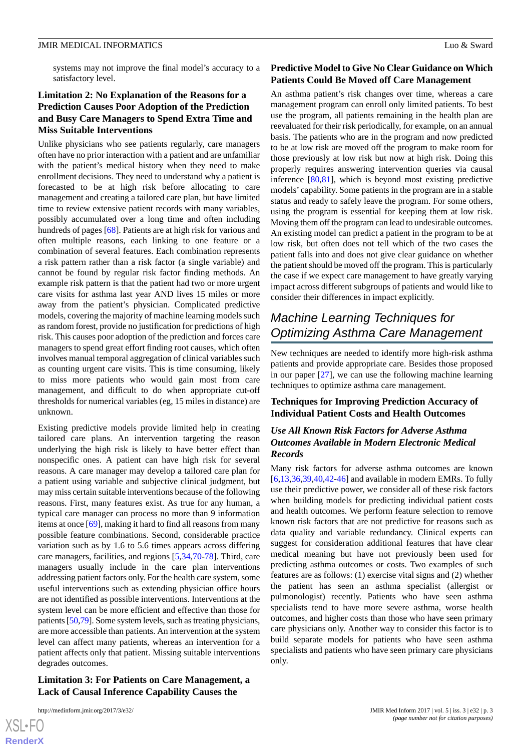systems may not improve the final model's accuracy to a satisfactory level.

## **Limitation 2: No Explanation of the Reasons for a Prediction Causes Poor Adoption of the Prediction and Busy Care Managers to Spend Extra Time and Miss Suitable Interventions**

Unlike physicians who see patients regularly, care managers often have no prior interaction with a patient and are unfamiliar with the patient's medical history when they need to make enrollment decisions. They need to understand why a patient is forecasted to be at high risk before allocating to care management and creating a tailored care plan, but have limited time to review extensive patient records with many variables, possibly accumulated over a long time and often including hundreds of pages [[68\]](#page-10-4). Patients are at high risk for various and often multiple reasons, each linking to one feature or a combination of several features. Each combination represents a risk pattern rather than a risk factor (a single variable) and cannot be found by regular risk factor finding methods. An example risk pattern is that the patient had two or more urgent care visits for asthma last year AND lives 15 miles or more away from the patient's physician. Complicated predictive models, covering the majority of machine learning models such as random forest, provide no justification for predictions of high risk. This causes poor adoption of the prediction and forces care managers to spend great effort finding root causes, which often involves manual temporal aggregation of clinical variables such as counting urgent care visits. This is time consuming, likely to miss more patients who would gain most from care management, and difficult to do when appropriate cut-off thresholds for numerical variables (eg, 15 miles in distance) are unknown.

Existing predictive models provide limited help in creating tailored care plans. An intervention targeting the reason underlying the high risk is likely to have better effect than nonspecific ones. A patient can have high risk for several reasons. A care manager may develop a tailored care plan for a patient using variable and subjective clinical judgment, but may miss certain suitable interventions because of the following reasons. First, many features exist. As true for any human, a typical care manager can process no more than 9 information items at once [[69\]](#page-10-5), making it hard to find all reasons from many possible feature combinations. Second, considerable practice variation such as by 1.6 to 5.6 times appears across differing care managers, facilities, and regions [\[5](#page-7-3),[34,](#page-8-9)[70](#page-10-6)-[78\]](#page-10-7). Third, care managers usually include in the care plan interventions addressing patient factors only. For the health care system, some useful interventions such as extending physician office hours are not identified as possible interventions. Interventions at the system level can be more efficient and effective than those for patients [[50,](#page-9-14)[79\]](#page-10-8). Some system levels, such as treating physicians, are more accessible than patients. An intervention at the system level can affect many patients, whereas an intervention for a patient affects only that patient. Missing suitable interventions degrades outcomes.

#### **Limitation 3: For Patients on Care Management, a Lack of Causal Inference Capability Causes the**

 $XS$ -FO **[RenderX](http://www.renderx.com/)**

## **Predictive Model to Give No Clear Guidance on Which Patients Could Be Moved off Care Management**

An asthma patient's risk changes over time, whereas a care management program can enroll only limited patients. To best use the program, all patients remaining in the health plan are reevaluated for their risk periodically, for example, on an annual basis. The patients who are in the program and now predicted to be at low risk are moved off the program to make room for those previously at low risk but now at high risk. Doing this properly requires answering intervention queries via causal inference [\[80](#page-10-9),[81\]](#page-10-10), which is beyond most existing predictive models' capability. Some patients in the program are in a stable status and ready to safely leave the program. For some others, using the program is essential for keeping them at low risk. Moving them off the program can lead to undesirable outcomes. An existing model can predict a patient in the program to be at low risk, but often does not tell which of the two cases the patient falls into and does not give clear guidance on whether the patient should be moved off the program. This is particularly the case if we expect care management to have greatly varying impact across different subgroups of patients and would like to consider their differences in impact explicitly.

## *Machine Learning Techniques for Optimizing Asthma Care Management*

New techniques are needed to identify more high-risk asthma patients and provide appropriate care. Besides those proposed in our paper  $[27]$  $[27]$ , we can use the following machine learning techniques to optimize asthma care management.

## **Techniques for Improving Prediction Accuracy of Individual Patient Costs and Health Outcomes**

## *Use All Known Risk Factors for Adverse Asthma Outcomes Available in Modern Electronic Medical Records*

Many risk factors for adverse asthma outcomes are known [[6](#page-7-4)[,13](#page-7-10),[36,](#page-8-11)[39,](#page-8-14)[40](#page-8-10)[,42](#page-9-0)-[46\]](#page-9-1) and available in modern EMRs. To fully use their predictive power, we consider all of these risk factors when building models for predicting individual patient costs and health outcomes. We perform feature selection to remove known risk factors that are not predictive for reasons such as data quality and variable redundancy. Clinical experts can suggest for consideration additional features that have clear medical meaning but have not previously been used for predicting asthma outcomes or costs. Two examples of such features are as follows: (1) exercise vital signs and (2) whether the patient has seen an asthma specialist (allergist or pulmonologist) recently. Patients who have seen asthma specialists tend to have more severe asthma, worse health outcomes, and higher costs than those who have seen primary care physicians only. Another way to consider this factor is to build separate models for patients who have seen asthma specialists and patients who have seen primary care physicians only.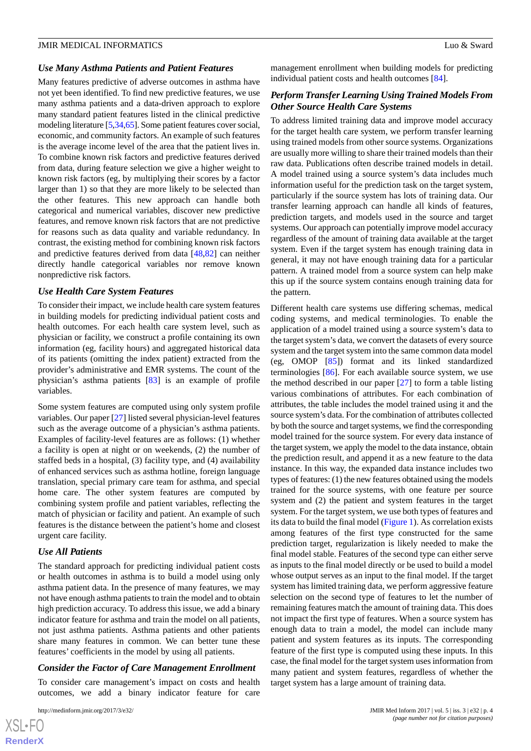#### *Use Many Asthma Patients and Patient Features*

Many features predictive of adverse outcomes in asthma have not yet been identified. To find new predictive features, we use many asthma patients and a data-driven approach to explore many standard patient features listed in the clinical predictive modeling literature [\[5](#page-7-3),[34](#page-8-9),[65\]](#page-10-1). Some patient features cover social, economic, and community factors. An example of such features is the average income level of the area that the patient lives in. To combine known risk factors and predictive features derived from data, during feature selection we give a higher weight to known risk factors (eg, by multiplying their scores by a factor larger than 1) so that they are more likely to be selected than the other features. This new approach can handle both categorical and numerical variables, discover new predictive features, and remove known risk factors that are not predictive for reasons such as data quality and variable redundancy. In contrast, the existing method for combining known risk factors and predictive features derived from data [\[48](#page-9-3),[82\]](#page-10-11) can neither directly handle categorical variables nor remove known nonpredictive risk factors.

#### *Use Health Care System Features*

To consider their impact, we include health care system features in building models for predicting individual patient costs and health outcomes. For each health care system level, such as physician or facility, we construct a profile containing its own information (eg, facility hours) and aggregated historical data of its patients (omitting the index patient) extracted from the provider's administrative and EMR systems. The count of the physician's asthma patients [\[83](#page-10-12)] is an example of profile variables.

Some system features are computed using only system profile variables. Our paper [\[27](#page-8-3)] listed several physician-level features such as the average outcome of a physician's asthma patients. Examples of facility-level features are as follows: (1) whether a facility is open at night or on weekends, (2) the number of staffed beds in a hospital, (3) facility type, and (4) availability of enhanced services such as asthma hotline, foreign language translation, special primary care team for asthma, and special home care. The other system features are computed by combining system profile and patient variables, reflecting the match of physician or facility and patient. An example of such features is the distance between the patient's home and closest urgent care facility.

#### *Use All Patients*

The standard approach for predicting individual patient costs or health outcomes in asthma is to build a model using only asthma patient data. In the presence of many features, we may not have enough asthma patients to train the model and to obtain high prediction accuracy. To address this issue, we add a binary indicator feature for asthma and train the model on all patients, not just asthma patients. Asthma patients and other patients share many features in common. We can better tune these features' coefficients in the model by using all patients.

## *Consider the Factor of Care Management Enrollment*

To consider care management's impact on costs and health outcomes, we add a binary indicator feature for care

management enrollment when building models for predicting individual patient costs and health outcomes [[84\]](#page-10-13).

### *Perform Transfer Learning Using Trained Models From Other Source Health Care Systems*

To address limited training data and improve model accuracy for the target health care system, we perform transfer learning using trained models from other source systems. Organizations are usually more willing to share their trained models than their raw data. Publications often describe trained models in detail. A model trained using a source system's data includes much information useful for the prediction task on the target system, particularly if the source system has lots of training data. Our transfer learning approach can handle all kinds of features, prediction targets, and models used in the source and target systems. Our approach can potentially improve model accuracy regardless of the amount of training data available at the target system. Even if the target system has enough training data in general, it may not have enough training data for a particular pattern. A trained model from a source system can help make this up if the source system contains enough training data for the pattern.

Different health care systems use differing schemas, medical coding systems, and medical terminologies. To enable the application of a model trained using a source system's data to the target system's data, we convert the datasets of every source system and the target system into the same common data model (eg, OMOP [[85\]](#page-10-14)) format and its linked standardized terminologies [\[86](#page-10-15)]. For each available source system, we use the method described in our paper [\[27](#page-8-3)] to form a table listing various combinations of attributes. For each combination of attributes, the table includes the model trained using it and the source system's data. For the combination of attributes collected by both the source and target systems, we find the corresponding model trained for the source system. For every data instance of the target system, we apply the model to the data instance, obtain the prediction result, and append it as a new feature to the data instance. In this way, the expanded data instance includes two types of features: (1) the new features obtained using the models trained for the source systems, with one feature per source system and (2) the patient and system features in the target system. For the target system, we use both types of features and its data to build the final model ([Figure 1\)](#page-4-0). As correlation exists among features of the first type constructed for the same prediction target, regularization is likely needed to make the final model stable. Features of the second type can either serve as inputs to the final model directly or be used to build a model whose output serves as an input to the final model. If the target system has limited training data, we perform aggressive feature selection on the second type of features to let the number of remaining features match the amount of training data. This does not impact the first type of features. When a source system has enough data to train a model, the model can include many patient and system features as its inputs. The corresponding feature of the first type is computed using these inputs. In this case, the final model for the target system uses information from many patient and system features, regardless of whether the target system has a large amount of training data.

 $XS$ -FO **[RenderX](http://www.renderx.com/)**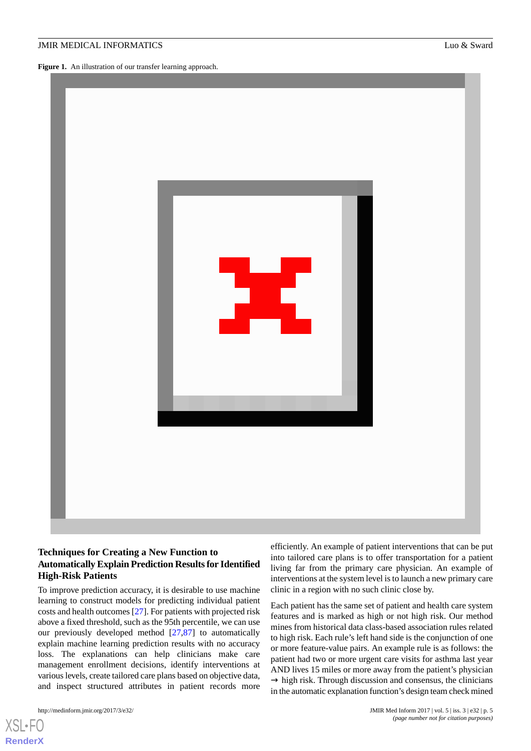<span id="page-4-0"></span>Figure 1. An illustration of our transfer learning approach.



## **Techniques for Creating a New Function to Automatically Explain Prediction Results for Identified High-Risk Patients**

To improve prediction accuracy, it is desirable to use machine learning to construct models for predicting individual patient costs and health outcomes [\[27](#page-8-3)]. For patients with projected risk above a fixed threshold, such as the 95th percentile, we can use our previously developed method [\[27](#page-8-3),[87\]](#page-10-16) to automatically explain machine learning prediction results with no accuracy loss. The explanations can help clinicians make care management enrollment decisions, identify interventions at various levels, create tailored care plans based on objective data, and inspect structured attributes in patient records more

[XSL](http://www.w3.org/Style/XSL)•FO **[RenderX](http://www.renderx.com/)**

efficiently. An example of patient interventions that can be put into tailored care plans is to offer transportation for a patient living far from the primary care physician. An example of interventions at the system level is to launch a new primary care clinic in a region with no such clinic close by.

Each patient has the same set of patient and health care system features and is marked as high or not high risk. Our method mines from historical data class-based association rules related to high risk. Each rule's left hand side is the conjunction of one or more feature-value pairs. An example rule is as follows: the patient had two or more urgent care visits for asthma last year AND lives 15 miles or more away from the patient's physician  $\rightarrow$  high risk. Through discussion and consensus, the clinicians in the automatic explanation function's design team check mined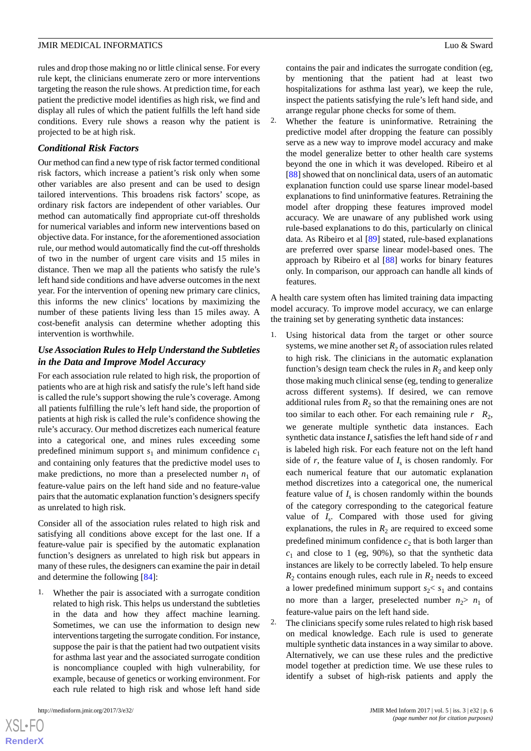rules and drop those making no or little clinical sense. For every rule kept, the clinicians enumerate zero or more interventions targeting the reason the rule shows. At prediction time, for each patient the predictive model identifies as high risk, we find and display all rules of which the patient fulfills the left hand side conditions. Every rule shows a reason why the patient is projected to be at high risk.

#### *Conditional Risk Factors*

Our method can find a new type of risk factor termed conditional risk factors, which increase a patient's risk only when some other variables are also present and can be used to design tailored interventions. This broadens risk factors' scope, as ordinary risk factors are independent of other variables. Our method can automatically find appropriate cut-off thresholds for numerical variables and inform new interventions based on objective data. For instance, for the aforementioned association rule, our method would automatically find the cut-off thresholds of two in the number of urgent care visits and 15 miles in distance. Then we map all the patients who satisfy the rule's left hand side conditions and have adverse outcomes in the next year. For the intervention of opening new primary care clinics, this informs the new clinics' locations by maximizing the number of these patients living less than 15 miles away. A cost-benefit analysis can determine whether adopting this intervention is worthwhile.

## *Use Association Rules to Help Understand the Subtleties in the Data and Improve Model Accuracy*

For each association rule related to high risk, the proportion of patients who are at high risk and satisfy the rule's left hand side is called the rule's support showing the rule's coverage. Among all patients fulfilling the rule's left hand side, the proportion of patients at high risk is called the rule's confidence showing the rule's accuracy. Our method discretizes each numerical feature into a categorical one, and mines rules exceeding some predefined minimum support  $s_1$  and minimum confidence  $c_1$ and containing only features that the predictive model uses to make predictions, no more than a preselected number  $n_1$  of feature-value pairs on the left hand side and no feature-value pairs that the automatic explanation function's designers specify as unrelated to high risk.

Consider all of the association rules related to high risk and satisfying all conditions above except for the last one. If a feature-value pair is specified by the automatic explanation function's designers as unrelated to high risk but appears in many of these rules, the designers can examine the pair in detail and determine the following [\[84](#page-10-13)]:

1. Whether the pair is associated with a surrogate condition related to high risk. This helps us understand the subtleties in the data and how they affect machine learning. Sometimes, we can use the information to design new interventions targeting the surrogate condition. For instance, suppose the pair is that the patient had two outpatient visits for asthma last year and the associated surrogate condition is noncompliance coupled with high vulnerability, for example, because of genetics or working environment. For each rule related to high risk and whose left hand side

 $XS$  • FO **[RenderX](http://www.renderx.com/)** contains the pair and indicates the surrogate condition (eg, by mentioning that the patient had at least two hospitalizations for asthma last year), we keep the rule, inspect the patients satisfying the rule's left hand side, and arrange regular phone checks for some of them.

2. Whether the feature is uninformative. Retraining the predictive model after dropping the feature can possibly serve as a new way to improve model accuracy and make the model generalize better to other health care systems beyond the one in which it was developed. Ribeiro et al [[88\]](#page-10-17) showed that on nonclinical data, users of an automatic explanation function could use sparse linear model-based explanations to find uninformative features. Retraining the model after dropping these features improved model accuracy. We are unaware of any published work using rule-based explanations to do this, particularly on clinical data. As Ribeiro et al [[89\]](#page-11-0) stated, rule-based explanations are preferred over sparse linear model-based ones. The approach by Ribeiro et al [\[88](#page-10-17)] works for binary features only. In comparison, our approach can handle all kinds of features.

A health care system often has limited training data impacting model accuracy. To improve model accuracy, we can enlarge the training set by generating synthetic data instances:

- 1. Using historical data from the target or other source systems, we mine another set  $R_2$  of association rules related to high risk. The clinicians in the automatic explanation function's design team check the rules in  $R_2$  and keep only those making much clinical sense (eg, tending to generalize across different systems). If desired, we can remove additional rules from  $R_2$  so that the remaining ones are not too similar to each other. For each remaining rule  $r \, R_2$ , we generate multiple synthetic data instances. Each synthetic data instance  $I_s$  satisfies the left hand side of  $r$  and is labeled high risk. For each feature not on the left hand side of  $r$ , the feature value of  $I_s$  is chosen randomly. For each numerical feature that our automatic explanation method discretizes into a categorical one, the numerical feature value of  $I_s$  is chosen randomly within the bounds of the category corresponding to the categorical feature value of  $I_s$ . Compared with those used for giving explanations, the rules in  $R_2$  are required to exceed some predefined minimum confidence  $c_2$  that is both larger than  $c_1$  and close to 1 (eg, 90%), so that the synthetic data instances are likely to be correctly labeled. To help ensure  $R_2$  contains enough rules, each rule in  $R_2$  needs to exceed a lower predefined minimum support  $s_2 < s_1$  and contains no more than a larger, preselected number  $n_2 > n_1$  of feature-value pairs on the left hand side.
- 2. The clinicians specify some rules related to high risk based on medical knowledge. Each rule is used to generate multiple synthetic data instances in a way similar to above. Alternatively, we can use these rules and the predictive model together at prediction time. We use these rules to identify a subset of high-risk patients and apply the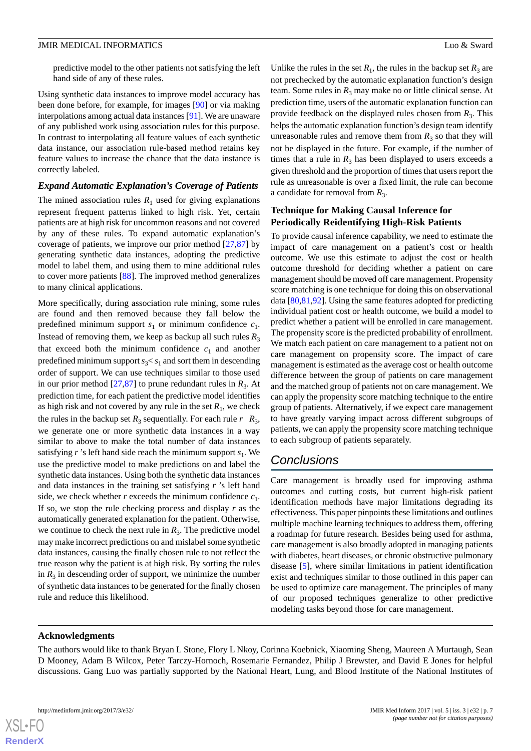predictive model to the other patients not satisfying the left hand side of any of these rules.

Using synthetic data instances to improve model accuracy has been done before, for example, for images [[90\]](#page-11-1) or via making interpolations among actual data instances [\[91](#page-11-2)]. We are unaware of any published work using association rules for this purpose. In contrast to interpolating all feature values of each synthetic data instance, our association rule-based method retains key feature values to increase the chance that the data instance is correctly labeled.

#### *Expand Automatic Explanation's Coverage of Patients*

The mined association rules  $R_1$  used for giving explanations represent frequent patterns linked to high risk. Yet, certain patients are at high risk for uncommon reasons and not covered by any of these rules. To expand automatic explanation's coverage of patients, we improve our prior method  $[27,87]$  $[27,87]$  $[27,87]$  by generating synthetic data instances, adopting the predictive model to label them, and using them to mine additional rules to cover more patients [\[88](#page-10-17)]. The improved method generalizes to many clinical applications.

More specifically, during association rule mining, some rules are found and then removed because they fall below the predefined minimum support  $s_1$  or minimum confidence  $c_1$ . Instead of removing them, we keep as backup all such rules  $R_3$ that exceed both the minimum confidence  $c_1$  and another predefined minimum support  $s_3 < s_1$  and sort them in descending order of support. We can use techniques similar to those used in our prior method  $[27,87]$  $[27,87]$  $[27,87]$  to prune redundant rules in  $R_3$ . At prediction time, for each patient the predictive model identifies as high risk and not covered by any rule in the set  $R_1$ , we check the rules in the backup set  $R_3$  sequentially. For each rule  $r \ R_3$ , we generate one or more synthetic data instances in a way similar to above to make the total number of data instances satisfying  $r$ 's left hand side reach the minimum support  $s_1$ . We use the predictive model to make predictions on and label the synthetic data instances. Using both the synthetic data instances and data instances in the training set satisfying *r* 's left hand side, we check whether  $r$  exceeds the minimum confidence  $c_1$ . If so, we stop the rule checking process and display *r* as the automatically generated explanation for the patient. Otherwise, we continue to check the next rule in  $R_3$ . The predictive model may make incorrect predictions on and mislabel some synthetic data instances, causing the finally chosen rule to not reflect the true reason why the patient is at high risk. By sorting the rules in  $R_3$  in descending order of support, we minimize the number of synthetic data instances to be generated for the finally chosen rule and reduce this likelihood.

Unlike the rules in the set  $R_1$ , the rules in the backup set  $R_3$  are not prechecked by the automatic explanation function's design team. Some rules in  $R_3$  may make no or little clinical sense. At prediction time, users of the automatic explanation function can provide feedback on the displayed rules chosen from  $R_3$ . This helps the automatic explanation function's design team identify unreasonable rules and remove them from  $R_3$  so that they will not be displayed in the future. For example, if the number of times that a rule in  $R_3$  has been displayed to users exceeds a given threshold and the proportion of times that users report the rule as unreasonable is over a fixed limit, the rule can become a candidate for removal from  $R_3$ .

## **Technique for Making Causal Inference for Periodically Reidentifying High-Risk Patients**

To provide causal inference capability, we need to estimate the impact of care management on a patient's cost or health outcome. We use this estimate to adjust the cost or health outcome threshold for deciding whether a patient on care management should be moved off care management. Propensity score matching is one technique for doing this on observational data [[80,](#page-10-9)[81](#page-10-10),[92\]](#page-11-3). Using the same features adopted for predicting individual patient cost or health outcome, we build a model to predict whether a patient will be enrolled in care management. The propensity score is the predicted probability of enrollment. We match each patient on care management to a patient not on care management on propensity score. The impact of care management is estimated as the average cost or health outcome difference between the group of patients on care management and the matched group of patients not on care management. We can apply the propensity score matching technique to the entire group of patients. Alternatively, if we expect care management to have greatly varying impact across different subgroups of patients, we can apply the propensity score matching technique to each subgroup of patients separately.

## *Conclusions*

Care management is broadly used for improving asthma outcomes and cutting costs, but current high-risk patient identification methods have major limitations degrading its effectiveness. This paper pinpoints these limitations and outlines multiple machine learning techniques to address them, offering a roadmap for future research. Besides being used for asthma, care management is also broadly adopted in managing patients with diabetes, heart diseases, or chronic obstructive pulmonary disease [\[5](#page-7-3)], where similar limitations in patient identification exist and techniques similar to those outlined in this paper can be used to optimize care management. The principles of many of our proposed techniques generalize to other predictive modeling tasks beyond those for care management.

#### **Acknowledgments**

The authors would like to thank Bryan L Stone, Flory L Nkoy, Corinna Koebnick, Xiaoming Sheng, Maureen A Murtaugh, Sean D Mooney, Adam B Wilcox, Peter Tarczy-Hornoch, Rosemarie Fernandez, Philip J Brewster, and David E Jones for helpful discussions. Gang Luo was partially supported by the National Heart, Lung, and Blood Institute of the National Institutes of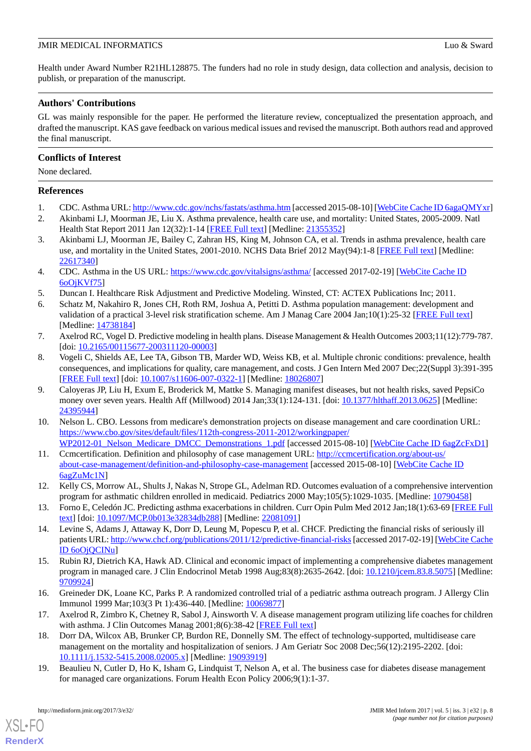Health under Award Number R21HL128875. The funders had no role in study design, data collection and analysis, decision to publish, or preparation of the manuscript.

## **Authors' Contributions**

GL was mainly responsible for the paper. He performed the literature review, conceptualized the presentation approach, and drafted the manuscript. KAS gave feedback on various medical issues and revised the manuscript. Both authors read and approved the final manuscript.

## **Conflicts of Interest**

None declared.

## <span id="page-7-0"></span>**References**

- 1. CDC. Asthma URL:<http://www.cdc.gov/nchs/fastats/asthma.htm> [accessed 2015-08-10] [\[WebCite Cache ID 6agaQMYxr](http://www.webcitation.org/

                 6agaQMYxr)]
- <span id="page-7-1"></span>2. Akinbami LJ, Moorman JE, Liu X. Asthma prevalence, health care use, and mortality: United States, 2005-2009. Natl Health Stat Report 2011 Jan 12(32):1-14 [\[FREE Full text\]](http://www.cdc.gov/nchs/data/nhsr/nhsr032.pdf) [Medline: [21355352\]](http://www.ncbi.nlm.nih.gov/entrez/query.fcgi?cmd=Retrieve&db=PubMed&list_uids=21355352&dopt=Abstract)
- <span id="page-7-2"></span>3. Akinbami LJ, Moorman JE, Bailey C, Zahran HS, King M, Johnson CA, et al. Trends in asthma prevalence, health care use, and mortality in the United States, 2001-2010. NCHS Data Brief 2012 May(94):1-8 [[FREE Full text](http://www.cdc.gov/nchs/data/databriefs/db94.pdf)] [Medline: [22617340](http://www.ncbi.nlm.nih.gov/entrez/query.fcgi?cmd=Retrieve&db=PubMed&list_uids=22617340&dopt=Abstract)]
- <span id="page-7-4"></span><span id="page-7-3"></span>4. CDC. Asthma in the US URL:<https://www.cdc.gov/vitalsigns/asthma/> [accessed 2017-02-19] [[WebCite Cache ID](http://www.webcitation.org/

                                6oOjKVf75)] [6oOjKVf75](http://www.webcitation.org/

                                6oOjKVf75)]
- 5. Duncan I. Healthcare Risk Adjustment and Predictive Modeling. Winsted, CT: ACTEX Publications Inc; 2011.
- <span id="page-7-5"></span>6. Schatz M, Nakahiro R, Jones CH, Roth RM, Joshua A, Petitti D. Asthma population management: development and validation of a practical 3-level risk stratification scheme. Am J Manag Care 2004 Jan;10(1):25-32 [\[FREE Full text\]](http://www.ajmc.com/pubMed.php?pii=2474) [Medline: [14738184](http://www.ncbi.nlm.nih.gov/entrez/query.fcgi?cmd=Retrieve&db=PubMed&list_uids=14738184&dopt=Abstract)]
- <span id="page-7-6"></span>7. Axelrod RC, Vogel D. Predictive modeling in health plans. Disease Management & Health Outcomes 2003;11(12):779-787. [doi: [10.2165/00115677-200311120-00003\]](http://dx.doi.org/10.2165/00115677-200311120-00003)
- <span id="page-7-11"></span>8. Vogeli C, Shields AE, Lee TA, Gibson TB, Marder WD, Weiss KB, et al. Multiple chronic conditions: prevalence, health consequences, and implications for quality, care management, and costs. J Gen Intern Med 2007 Dec;22(Suppl 3):391-395 [[FREE Full text](http://europepmc.org/abstract/MED/18026807)] [doi: [10.1007/s11606-007-0322-1\]](http://dx.doi.org/10.1007/s11606-007-0322-1) [Medline: [18026807](http://www.ncbi.nlm.nih.gov/entrez/query.fcgi?cmd=Retrieve&db=PubMed&list_uids=18026807&dopt=Abstract)]
- <span id="page-7-7"></span>9. Caloyeras JP, Liu H, Exum E, Broderick M, Mattke S. Managing manifest diseases, but not health risks, saved PepsiCo money over seven years. Health Aff (Millwood) 2014 Jan;33(1):124-131. [doi: [10.1377/hlthaff.2013.0625](http://dx.doi.org/10.1377/hlthaff.2013.0625)] [Medline: [24395944](http://www.ncbi.nlm.nih.gov/entrez/query.fcgi?cmd=Retrieve&db=PubMed&list_uids=24395944&dopt=Abstract)]
- <span id="page-7-8"></span>10. Nelson L. CBO. Lessons from medicare's demonstration projects on disease management and care coordination URL: [https://www.cbo.gov/sites/default/files/112th-congress-2011-2012/workingpaper/](https://www.cbo.gov/sites/default/files/112th-congress-2011-2012/workingpaper/WP2012-01_Nelson_Medicare_DMCC_Demonstrations_1.pdf) [WP2012-01\\_Nelson\\_Medicare\\_DMCC\\_Demonstrations\\_1.pdf](https://www.cbo.gov/sites/default/files/112th-congress-2011-2012/workingpaper/WP2012-01_Nelson_Medicare_DMCC_Demonstrations_1.pdf) [accessed 2015-08-10] [[WebCite Cache ID 6agZcFxD1](http://www.webcitation.org/

                                6agZcFxD1)]
- <span id="page-7-10"></span><span id="page-7-9"></span>11. Ccmcertification. Definition and philosophy of case management URL: [http://ccmcertification.org/about-us/](http://ccmcertification.org/about-us/about-case-management/definition-and-philosophy-case-management) [about-case-management/definition-and-philosophy-case-management](http://ccmcertification.org/about-us/about-case-management/definition-and-philosophy-case-management) [accessed 2015-08-10] [[WebCite Cache ID](http://www.webcitation.org/

                                6agZuMc1N) [6agZuMc1N\]](http://www.webcitation.org/

                                6agZuMc1N)
- <span id="page-7-12"></span>12. Kelly CS, Morrow AL, Shults J, Nakas N, Strope GL, Adelman RD. Outcomes evaluation of a comprehensive intervention program for asthmatic children enrolled in medicaid. Pediatrics 2000 May;105(5):1029-1035. [Medline: [10790458\]](http://www.ncbi.nlm.nih.gov/entrez/query.fcgi?cmd=Retrieve&db=PubMed&list_uids=10790458&dopt=Abstract)
- <span id="page-7-14"></span>13. Forno E, Celedón JC. Predicting asthma exacerbations in children. Curr Opin Pulm Med 2012 Jan;18(1):63-69 [\[FREE Full](http://europepmc.org/abstract/MED/22081091) [text](http://europepmc.org/abstract/MED/22081091)] [doi: [10.1097/MCP.0b013e32834db288\]](http://dx.doi.org/10.1097/MCP.0b013e32834db288) [Medline: [22081091\]](http://www.ncbi.nlm.nih.gov/entrez/query.fcgi?cmd=Retrieve&db=PubMed&list_uids=22081091&dopt=Abstract)
- 14. Levine S, Adams J, Attaway K, Dorr D, Leung M, Popescu P, et al. CHCF. Predicting the financial risks of seriously ill patients URL:<http://www.chcf.org/publications/2011/12/predictive-financial-risks> [accessed 2017-02-19] [\[WebCite Cache](http://www.webcitation.org/

                                6oOjQCINu) [ID 6oOjQCINu](http://www.webcitation.org/

                                6oOjQCINu)]
- <span id="page-7-13"></span>15. Rubin RJ, Dietrich KA, Hawk AD. Clinical and economic impact of implementing a comprehensive diabetes management program in managed care. J Clin Endocrinol Metab 1998 Aug;83(8):2635-2642. [doi: [10.1210/jcem.83.8.5075\]](http://dx.doi.org/10.1210/jcem.83.8.5075) [Medline: [9709924\]](http://www.ncbi.nlm.nih.gov/entrez/query.fcgi?cmd=Retrieve&db=PubMed&list_uids=9709924&dopt=Abstract)
- <span id="page-7-15"></span>16. Greineder DK, Loane KC, Parks P. A randomized controlled trial of a pediatric asthma outreach program. J Allergy Clin Immunol 1999 Mar;103(3 Pt 1):436-440. [Medline: [10069877\]](http://www.ncbi.nlm.nih.gov/entrez/query.fcgi?cmd=Retrieve&db=PubMed&list_uids=10069877&dopt=Abstract)
- 17. Axelrod R, Zimbro K, Chetney R, Sabol J, Ainsworth V. A disease management program utilizing life coaches for children with asthma. J Clin Outcomes Manag 2001;8(6):38-42 [[FREE Full text](http://www.turner-white.com/pdf/jcom_jun01_asthma.pdf)]
- 18. Dorr DA, Wilcox AB, Brunker CP, Burdon RE, Donnelly SM. The effect of technology-supported, multidisease care management on the mortality and hospitalization of seniors. J Am Geriatr Soc 2008 Dec;56(12):2195-2202. [doi: [10.1111/j.1532-5415.2008.02005.x\]](http://dx.doi.org/10.1111/j.1532-5415.2008.02005.x) [Medline: [19093919\]](http://www.ncbi.nlm.nih.gov/entrez/query.fcgi?cmd=Retrieve&db=PubMed&list_uids=19093919&dopt=Abstract)
- 19. Beaulieu N, Cutler D, Ho K, Isham G, Lindquist T, Nelson A, et al. The business case for diabetes disease management for managed care organizations. Forum Health Econ Policy 2006;9(1):1-37.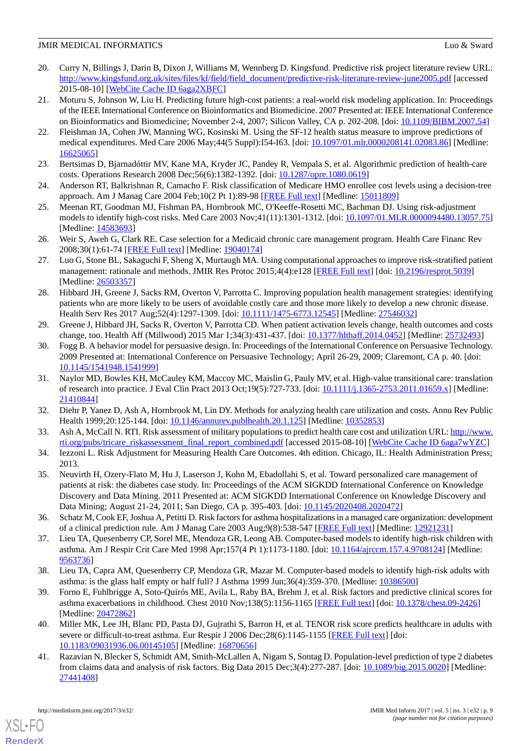- <span id="page-8-0"></span>20. Curry N, Billings J, Darin B, Dixon J, Williams M, Wennberg D. Kingsfund. Predictive risk project literature review URL: [http://www.kingsfund.org.uk/sites/files/kf/field/field\\_document/predictive-risk-literature-review-june2005.pdf](http://www.kingsfund.org.uk/sites/files/kf/field/field_document/predictive-risk-literature-review-june2005.pdf) [accessed 2015-08-10] [\[WebCite Cache ID 6aga2XBFC](http://www.webcitation.org/

                                6aga2XBFC)]
- <span id="page-8-1"></span>21. Moturu S, Johnson W, Liu H. Predicting future high-cost patients: a real-world risk modeling application. In: Proceedings of the IEEE International Conference on Bioinformatics and Biomedicine. 2007 Presented at: IEEE International Conference on Bioinformatics and Biomedicine; November 2-4, 2007; Silicon Valley, CA p. 202-208. [doi: [10.1109/BIBM.2007.54](http://dx.doi.org/10.1109/BIBM.2007.54)]
- 22. Fleishman JA, Cohen JW, Manning WG, Kosinski M. Using the SF-12 health status measure to improve predictions of medical expenditures. Med Care 2006 May;44(5 Suppl):I54-I63. [doi: [10.1097/01.mlr.0000208141.02083.86\]](http://dx.doi.org/10.1097/01.mlr.0000208141.02083.86) [Medline: [16625065](http://www.ncbi.nlm.nih.gov/entrez/query.fcgi?cmd=Retrieve&db=PubMed&list_uids=16625065&dopt=Abstract)]
- 23. Bertsimas D, Bjarnadóttir MV, Kane MA, Kryder JC, Pandey R, Vempala S, et al. Algorithmic prediction of health-care costs. Operations Research 2008 Dec;56(6):1382-1392. [doi: [10.1287/opre.1080.0619\]](http://dx.doi.org/10.1287/opre.1080.0619)
- 24. Anderson RT, Balkrishnan R, Camacho F. Risk classification of Medicare HMO enrollee cost levels using a decision-tree approach. Am J Manag Care 2004 Feb;10(2 Pt 1):89-98 [[FREE Full text](http://www.ajmc.com/pubMed.php?pii=2508)] [Medline: [15011809](http://www.ncbi.nlm.nih.gov/entrez/query.fcgi?cmd=Retrieve&db=PubMed&list_uids=15011809&dopt=Abstract)]
- <span id="page-8-2"></span>25. Meenan RT, Goodman MJ, Fishman PA, Hornbrook MC, O'Keeffe-Rosetti MC, Bachman DJ. Using risk-adjustment models to identify high-cost risks. Med Care 2003 Nov;41(11):1301-1312. [doi: [10.1097/01.MLR.0000094480.13057.75](http://dx.doi.org/10.1097/01.MLR.0000094480.13057.75)] [Medline: [14583693](http://www.ncbi.nlm.nih.gov/entrez/query.fcgi?cmd=Retrieve&db=PubMed&list_uids=14583693&dopt=Abstract)]
- <span id="page-8-3"></span>26. Weir S, Aweh G, Clark RE. Case selection for a Medicaid chronic care management program. Health Care Financ Rev 2008;30(1):61-74 [[FREE Full text](http://europepmc.org/abstract/MED/19040174)] [Medline: [19040174](http://www.ncbi.nlm.nih.gov/entrez/query.fcgi?cmd=Retrieve&db=PubMed&list_uids=19040174&dopt=Abstract)]
- <span id="page-8-4"></span>27. Luo G, Stone BL, Sakaguchi F, Sheng X, Murtaugh MA. Using computational approaches to improve risk-stratified patient management: rationale and methods. JMIR Res Protoc 2015;4(4):e128 [\[FREE Full text\]](http://www.researchprotocols.org/2015/4/e128/) [doi: [10.2196/resprot.5039](http://dx.doi.org/10.2196/resprot.5039)] [Medline: [26503357](http://www.ncbi.nlm.nih.gov/entrez/query.fcgi?cmd=Retrieve&db=PubMed&list_uids=26503357&dopt=Abstract)]
- 28. Hibbard JH, Greene J, Sacks RM, Overton V, Parrotta C. Improving population health management strategies: identifying patients who are more likely to be users of avoidable costly care and those more likely to develop a new chronic disease. Health Serv Res 2017 Aug;52(4):1297-1309. [doi: [10.1111/1475-6773.12545\]](http://dx.doi.org/10.1111/1475-6773.12545) [Medline: [27546032](http://www.ncbi.nlm.nih.gov/entrez/query.fcgi?cmd=Retrieve&db=PubMed&list_uids=27546032&dopt=Abstract)]
- <span id="page-8-5"></span>29. Greene J, Hibbard JH, Sacks R, Overton V, Parrotta CD. When patient activation levels change, health outcomes and costs change, too. Health Aff (Millwood) 2015 Mar 1;34(3):431-437. [doi: [10.1377/hlthaff.2014.0452\]](http://dx.doi.org/10.1377/hlthaff.2014.0452) [Medline: [25732493](http://www.ncbi.nlm.nih.gov/entrez/query.fcgi?cmd=Retrieve&db=PubMed&list_uids=25732493&dopt=Abstract)]
- <span id="page-8-6"></span>30. Fogg B. A behavior model for persuasive design. In: Proceedings of the International Conference on Persuasive Technology. 2009 Presented at: International Conference on Persuasive Technology; April 26-29, 2009; Claremont, CA p. 40. [doi: [10.1145/1541948.1541999](http://dx.doi.org/10.1145/1541948.1541999)]
- <span id="page-8-8"></span><span id="page-8-7"></span>31. Naylor MD, Bowles KH, McCauley KM, Maccoy MC, Maislin G, Pauly MV, et al. High-value transitional care: translation of research into practice. J Eval Clin Pract 2013 Oct;19(5):727-733. [doi: [10.1111/j.1365-2753.2011.01659.x\]](http://dx.doi.org/10.1111/j.1365-2753.2011.01659.x) [Medline: [21410844](http://www.ncbi.nlm.nih.gov/entrez/query.fcgi?cmd=Retrieve&db=PubMed&list_uids=21410844&dopt=Abstract)]
- <span id="page-8-9"></span>32. Diehr P, Yanez D, Ash A, Hornbrook M, Lin DY. Methods for analyzing health care utilization and costs. Annu Rev Public Health 1999;20:125-144. [doi: [10.1146/annurev.publhealth.20.1.125\]](http://dx.doi.org/10.1146/annurev.publhealth.20.1.125) [Medline: [10352853\]](http://www.ncbi.nlm.nih.gov/entrez/query.fcgi?cmd=Retrieve&db=PubMed&list_uids=10352853&dopt=Abstract)
- <span id="page-8-15"></span>33. Ash A, McCall N. RTI. Risk assessment of military populations to predict health care cost and utilization URL: [http://www.](http://www.rti.org/pubs/tricare_riskassessment_final_report_combined.pdf) [rti.org/pubs/tricare\\_riskassessment\\_final\\_report\\_combined.pdf](http://www.rti.org/pubs/tricare_riskassessment_final_report_combined.pdf) [accessed 2015-08-10] [[WebCite Cache ID 6aga7wYZC\]](http://www.webcitation.org/

                                6aga7wYZC)
- 34. Iezzoni L. Risk Adjustment for Measuring Health Care Outcomes. 4th edition. Chicago, IL: Health Administration Press; 2013.
- <span id="page-8-12"></span><span id="page-8-11"></span>35. Neuvirth H, Ozery-Flato M, Hu J, Laserson J, Kohn M, Ebadollahi S, et al. Toward personalized care management of patients at risk: the diabetes case study. In: Proceedings of the ACM SIGKDD International Conference on Knowledge Discovery and Data Mining. 2011 Presented at: ACM SIGKDD International Conference on Knowledge Discovery and Data Mining; August 21-24, 2011; San Diego, CA p. 395-403. [doi: [10.1145/2020408.2020472](http://dx.doi.org/10.1145/2020408.2020472)]
- 36. Schatz M, Cook EF, Joshua A, Petitti D. Risk factors for asthma hospitalizations in a managed care organization: development of a clinical prediction rule. Am J Manag Care 2003 Aug;9(8):538-547 [\[FREE Full text\]](http://www.ajmc.com/pubMed.php?pii=2500) [Medline: [12921231\]](http://www.ncbi.nlm.nih.gov/entrez/query.fcgi?cmd=Retrieve&db=PubMed&list_uids=12921231&dopt=Abstract)
- <span id="page-8-14"></span>37. Lieu TA, Quesenberry CP, Sorel ME, Mendoza GR, Leong AB. Computer-based models to identify high-risk children with asthma. Am J Respir Crit Care Med 1998 Apr;157(4 Pt 1):1173-1180. [doi: [10.1164/ajrccm.157.4.9708124\]](http://dx.doi.org/10.1164/ajrccm.157.4.9708124) [Medline: [9563736\]](http://www.ncbi.nlm.nih.gov/entrez/query.fcgi?cmd=Retrieve&db=PubMed&list_uids=9563736&dopt=Abstract)
- <span id="page-8-10"></span>38. Lieu TA, Capra AM, Quesenberry CP, Mendoza GR, Mazar M. Computer-based models to identify high-risk adults with asthma: is the glass half empty or half full? J Asthma 1999 Jun;36(4):359-370. [Medline: [10386500\]](http://www.ncbi.nlm.nih.gov/entrez/query.fcgi?cmd=Retrieve&db=PubMed&list_uids=10386500&dopt=Abstract)
- <span id="page-8-13"></span>39. Forno E, Fuhlbrigge A, Soto-Quirós ME, Avila L, Raby BA, Brehm J, et al. Risk factors and predictive clinical scores for asthma exacerbations in childhood. Chest 2010 Nov;138(5):1156-1165 [\[FREE Full text\]](http://europepmc.org/abstract/MED/20472862) [doi: [10.1378/chest.09-2426\]](http://dx.doi.org/10.1378/chest.09-2426) [Medline: [20472862](http://www.ncbi.nlm.nih.gov/entrez/query.fcgi?cmd=Retrieve&db=PubMed&list_uids=20472862&dopt=Abstract)]
- 40. Miller MK, Lee JH, Blanc PD, Pasta DJ, Gujrathi S, Barron H, et al. TENOR risk score predicts healthcare in adults with severe or difficult-to-treat asthma. Eur Respir J 2006 Dec; 28(6):1145-1155 [[FREE Full text](http://erj.ersjournals.com/cgi/pmidlookup?view=long&pmid=16870656)] [doi: [10.1183/09031936.06.00145105\]](http://dx.doi.org/10.1183/09031936.06.00145105) [Medline: [16870656\]](http://www.ncbi.nlm.nih.gov/entrez/query.fcgi?cmd=Retrieve&db=PubMed&list_uids=16870656&dopt=Abstract)
- 41. Razavian N, Blecker S, Schmidt AM, Smith-McLallen A, Nigam S, Sontag D. Population-level prediction of type 2 diabetes from claims data and analysis of risk factors. Big Data 2015 Dec;3(4):277-287. [doi: [10.1089/big.2015.0020](http://dx.doi.org/10.1089/big.2015.0020)] [Medline: [27441408](http://www.ncbi.nlm.nih.gov/entrez/query.fcgi?cmd=Retrieve&db=PubMed&list_uids=27441408&dopt=Abstract)]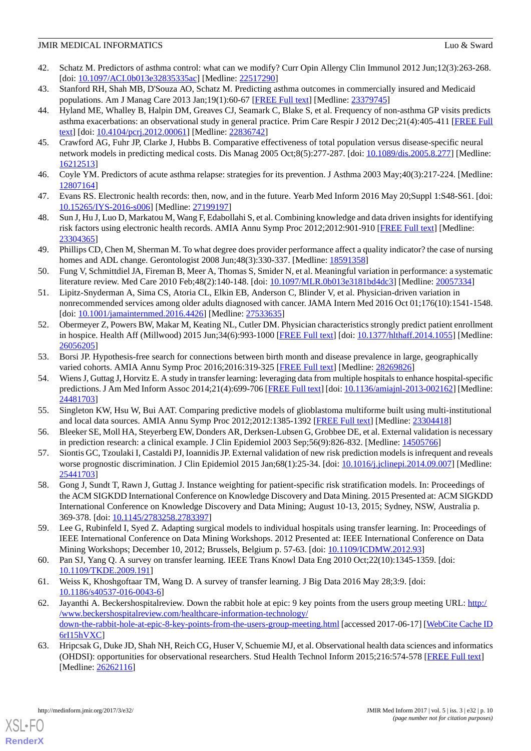- <span id="page-9-0"></span>42. Schatz M. Predictors of asthma control: what can we modify? Curr Opin Allergy Clin Immunol 2012 Jun;12(3):263-268. [doi: [10.1097/ACI.0b013e32835335ac\]](http://dx.doi.org/10.1097/ACI.0b013e32835335ac) [Medline: [22517290\]](http://www.ncbi.nlm.nih.gov/entrez/query.fcgi?cmd=Retrieve&db=PubMed&list_uids=22517290&dopt=Abstract)
- 43. Stanford RH, Shah MB, D'Souza AO, Schatz M. Predicting asthma outcomes in commercially insured and Medicaid populations. Am J Manag Care 2013 Jan;19(1):60-67 [[FREE Full text](http://www.ajmc.com/pubMed.php?pii=82418)] [Medline: [23379745](http://www.ncbi.nlm.nih.gov/entrez/query.fcgi?cmd=Retrieve&db=PubMed&list_uids=23379745&dopt=Abstract)]
- 44. Hyland ME, Whalley B, Halpin DM, Greaves CJ, Seamark C, Blake S, et al. Frequency of non-asthma GP visits predicts asthma exacerbations: an observational study in general practice. Prim Care Respir J 2012 Dec;21(4):405-411 [[FREE Full](https://dx.doi.org/10.4104/pcrj.2012.00061) [text](https://dx.doi.org/10.4104/pcrj.2012.00061)] [doi: [10.4104/pcrj.2012.00061](http://dx.doi.org/10.4104/pcrj.2012.00061)] [Medline: [22836742](http://www.ncbi.nlm.nih.gov/entrez/query.fcgi?cmd=Retrieve&db=PubMed&list_uids=22836742&dopt=Abstract)]
- <span id="page-9-1"></span>45. Crawford AG, Fuhr JP, Clarke J, Hubbs B. Comparative effectiveness of total population versus disease-specific neural network models in predicting medical costs. Dis Manag 2005 Oct;8(5):277-287. [doi: [10.1089/dis.2005.8.277\]](http://dx.doi.org/10.1089/dis.2005.8.277) [Medline: [16212513](http://www.ncbi.nlm.nih.gov/entrez/query.fcgi?cmd=Retrieve&db=PubMed&list_uids=16212513&dopt=Abstract)]
- <span id="page-9-2"></span>46. Coyle YM. Predictors of acute asthma relapse: strategies for its prevention. J Asthma 2003 May;40(3):217-224. [Medline: [12807164](http://www.ncbi.nlm.nih.gov/entrez/query.fcgi?cmd=Retrieve&db=PubMed&list_uids=12807164&dopt=Abstract)]
- <span id="page-9-3"></span>47. Evans RS. Electronic health records: then, now, and in the future. Yearb Med Inform 2016 May 20;Suppl 1:S48-S61. [doi: [10.15265/IYS-2016-s006](http://dx.doi.org/10.15265/IYS-2016-s006)] [Medline: [27199197](http://www.ncbi.nlm.nih.gov/entrez/query.fcgi?cmd=Retrieve&db=PubMed&list_uids=27199197&dopt=Abstract)]
- <span id="page-9-4"></span>48. Sun J, Hu J, Luo D, Markatou M, Wang F, Edabollahi S, et al. Combining knowledge and data driven insights for identifying risk factors using electronic health records. AMIA Annu Symp Proc 2012;2012:901-910 [\[FREE Full text\]](http://europepmc.org/abstract/MED/23304365) [Medline: [23304365](http://www.ncbi.nlm.nih.gov/entrez/query.fcgi?cmd=Retrieve&db=PubMed&list_uids=23304365&dopt=Abstract)]
- <span id="page-9-14"></span>49. Phillips CD, Chen M, Sherman M. To what degree does provider performance affect a quality indicator? the case of nursing homes and ADL change. Gerontologist 2008 Jun;48(3):330-337. [Medline: [18591358\]](http://www.ncbi.nlm.nih.gov/entrez/query.fcgi?cmd=Retrieve&db=PubMed&list_uids=18591358&dopt=Abstract)
- 50. Fung V, Schmittdiel JA, Fireman B, Meer A, Thomas S, Smider N, et al. Meaningful variation in performance: a systematic literature review. Med Care 2010 Feb;48(2):140-148. [doi: [10.1097/MLR.0b013e3181bd4dc3](http://dx.doi.org/10.1097/MLR.0b013e3181bd4dc3)] [Medline: [20057334\]](http://www.ncbi.nlm.nih.gov/entrez/query.fcgi?cmd=Retrieve&db=PubMed&list_uids=20057334&dopt=Abstract)
- <span id="page-9-5"></span>51. Lipitz-Snyderman A, Sima CS, Atoria CL, Elkin EB, Anderson C, Blinder V, et al. Physician-driven variation in nonrecommended services among older adults diagnosed with cancer. JAMA Intern Med 2016 Oct 01;176(10):1541-1548. [doi: [10.1001/jamainternmed.2016.4426](http://dx.doi.org/10.1001/jamainternmed.2016.4426)] [Medline: [27533635\]](http://www.ncbi.nlm.nih.gov/entrez/query.fcgi?cmd=Retrieve&db=PubMed&list_uids=27533635&dopt=Abstract)
- <span id="page-9-6"></span>52. Obermeyer Z, Powers BW, Makar M, Keating NL, Cutler DM. Physician characteristics strongly predict patient enrollment in hospice. Health Aff (Millwood) 2015 Jun;34(6):993-1000 [\[FREE Full text\]](http://europepmc.org/abstract/MED/26056205) [doi: [10.1377/hlthaff.2014.1055\]](http://dx.doi.org/10.1377/hlthaff.2014.1055) [Medline: [26056205](http://www.ncbi.nlm.nih.gov/entrez/query.fcgi?cmd=Retrieve&db=PubMed&list_uids=26056205&dopt=Abstract)]
- <span id="page-9-7"></span>53. Borsi JP. Hypothesis-free search for connections between birth month and disease prevalence in large, geographically varied cohorts. AMIA Annu Symp Proc 2016;2016:319-325 [[FREE Full text\]](http://europepmc.org/abstract/MED/28269826) [Medline: [28269826\]](http://www.ncbi.nlm.nih.gov/entrez/query.fcgi?cmd=Retrieve&db=PubMed&list_uids=28269826&dopt=Abstract)
- 54. Wiens J, Guttag J, Horvitz E. A study in transfer learning: leveraging data from multiple hospitals to enhance hospital-specific predictions. J Am Med Inform Assoc 2014;21(4):699-706 [[FREE Full text\]](http://jamia.oxfordjournals.org/cgi/pmidlookup?view=long&pmid=24481703) [doi: [10.1136/amiajnl-2013-002162](http://dx.doi.org/10.1136/amiajnl-2013-002162)] [Medline: [24481703](http://www.ncbi.nlm.nih.gov/entrez/query.fcgi?cmd=Retrieve&db=PubMed&list_uids=24481703&dopt=Abstract)]
- <span id="page-9-8"></span>55. Singleton KW, Hsu W, Bui AAT. Comparing predictive models of glioblastoma multiforme built using multi-institutional and local data sources. AMIA Annu Symp Proc 2012;2012:1385-1392 [[FREE Full text](http://europepmc.org/abstract/MED/23304418)] [Medline: [23304418](http://www.ncbi.nlm.nih.gov/entrez/query.fcgi?cmd=Retrieve&db=PubMed&list_uids=23304418&dopt=Abstract)]
- <span id="page-9-9"></span>56. Bleeker SE, Moll HA, Steyerberg EW, Donders AR, Derksen-Lubsen G, Grobbee DE, et al. External validation is necessary in prediction research: a clinical example. J Clin Epidemiol 2003 Sep;56(9):826-832. [Medline: [14505766](http://www.ncbi.nlm.nih.gov/entrez/query.fcgi?cmd=Retrieve&db=PubMed&list_uids=14505766&dopt=Abstract)]
- 57. Siontis GC, Tzoulaki I, Castaldi PJ, Ioannidis JP. External validation of new risk prediction models is infrequent and reveals worse prognostic discrimination. J Clin Epidemiol 2015 Jan;68(1):25-34. [doi: [10.1016/j.jclinepi.2014.09.007](http://dx.doi.org/10.1016/j.jclinepi.2014.09.007)] [Medline: [25441703](http://www.ncbi.nlm.nih.gov/entrez/query.fcgi?cmd=Retrieve&db=PubMed&list_uids=25441703&dopt=Abstract)]
- <span id="page-9-11"></span><span id="page-9-10"></span>58. Gong J, Sundt T, Rawn J, Guttag J. Instance weighting for patient-specific risk stratification models. In: Proceedings of the ACM SIGKDD International Conference on Knowledge Discovery and Data Mining. 2015 Presented at: ACM SIGKDD International Conference on Knowledge Discovery and Data Mining; August 10-13, 2015; Sydney, NSW, Australia p. 369-378. [doi: [10.1145/2783258.2783397](http://dx.doi.org/10.1145/2783258.2783397)]
- <span id="page-9-13"></span><span id="page-9-12"></span>59. Lee G, Rubinfeld I, Syed Z. Adapting surgical models to individual hospitals using transfer learning. In: Proceedings of IEEE International Conference on Data Mining Workshops. 2012 Presented at: IEEE International Conference on Data Mining Workshops; December 10, 2012; Brussels, Belgium p. 57-63. [doi: [10.1109/ICDMW.2012.93\]](http://dx.doi.org/10.1109/ICDMW.2012.93)
- 60. Pan SJ, Yang Q. A survey on transfer learning. IEEE Trans Knowl Data Eng 2010 Oct;22(10):1345-1359. [doi: [10.1109/TKDE.2009.191](http://dx.doi.org/10.1109/TKDE.2009.191)]
- 61. Weiss K, Khoshgoftaar TM, Wang D. A survey of transfer learning. J Big Data 2016 May 28;3:9. [doi: [10.1186/s40537-016-0043-6\]](http://dx.doi.org/10.1186/s40537-016-0043-6)
- 62. Jayanthi A. Beckershospitalreview. Down the rabbit hole at epic: 9 key points from the users group meeting URL: [http:/](http://www.beckershospitalreview.com/healthcare-information-technology/down-the-rabbit-hole-at-epic-8-key-points-from-the-users-group-meeting.html) [/www.beckershospitalreview.com/healthcare-information-technology/](http://www.beckershospitalreview.com/healthcare-information-technology/down-the-rabbit-hole-at-epic-8-key-points-from-the-users-group-meeting.html) [down-the-rabbit-hole-at-epic-8-key-points-from-the-users-group-meeting.html](http://www.beckershospitalreview.com/healthcare-information-technology/down-the-rabbit-hole-at-epic-8-key-points-from-the-users-group-meeting.html) [accessed 2017-06-17] [\[WebCite Cache ID](http://www.webcitation.org/

                                6rI15hVXC) [6rI15hVXC](http://www.webcitation.org/

                                6rI15hVXC)]
- 63. Hripcsak G, Duke JD, Shah NH, Reich CG, Huser V, Schuemie MJ, et al. Observational health data sciences and informatics (OHDSI): opportunities for observational researchers. Stud Health Technol Inform 2015;216:574-578 [\[FREE Full text\]](http://europepmc.org/abstract/MED/26262116) [Medline: [26262116](http://www.ncbi.nlm.nih.gov/entrez/query.fcgi?cmd=Retrieve&db=PubMed&list_uids=26262116&dopt=Abstract)]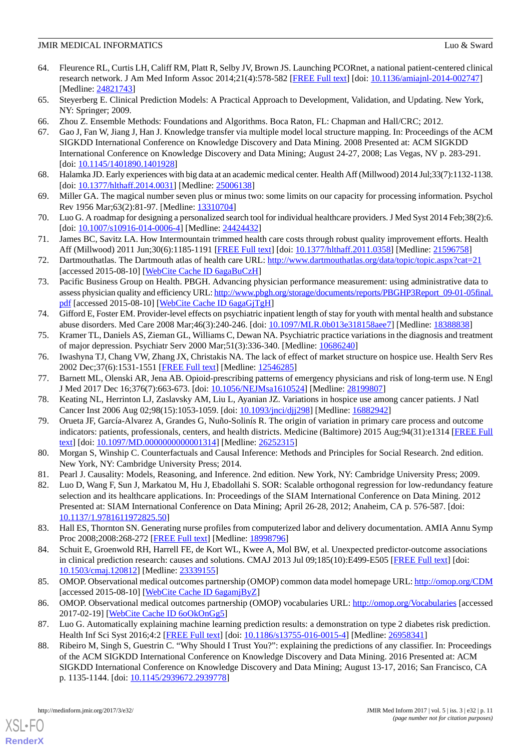- <span id="page-10-0"></span>64. Fleurence RL, Curtis LH, Califf RM, Platt R, Selby JV, Brown JS. Launching PCORnet, a national patient-centered clinical research network. J Am Med Inform Assoc 2014;21(4):578-582 [\[FREE Full text\]](http://jamia.oxfordjournals.org/cgi/pmidlookup?view=long&pmid=24821743) [doi: [10.1136/amiajnl-2014-002747\]](http://dx.doi.org/10.1136/amiajnl-2014-002747) [Medline: [24821743](http://www.ncbi.nlm.nih.gov/entrez/query.fcgi?cmd=Retrieve&db=PubMed&list_uids=24821743&dopt=Abstract)]
- <span id="page-10-2"></span><span id="page-10-1"></span>65. Steyerberg E. Clinical Prediction Models: A Practical Approach to Development, Validation, and Updating. New York, NY: Springer; 2009.
- <span id="page-10-3"></span>66. Zhou Z. Ensemble Methods: Foundations and Algorithms. Boca Raton, FL: Chapman and Hall/CRC; 2012.
- 67. Gao J, Fan W, Jiang J, Han J. Knowledge transfer via multiple model local structure mapping. In: Proceedings of the ACM SIGKDD International Conference on Knowledge Discovery and Data Mining. 2008 Presented at: ACM SIGKDD International Conference on Knowledge Discovery and Data Mining; August 24-27, 2008; Las Vegas, NV p. 283-291. [doi: [10.1145/1401890.1401928\]](http://dx.doi.org/10.1145/1401890.1401928)
- <span id="page-10-5"></span><span id="page-10-4"></span>68. Halamka JD. Early experiences with big data at an academic medical center. Health Aff (Millwood) 2014 Jul;33(7):1132-1138. [doi: [10.1377/hlthaff.2014.0031\]](http://dx.doi.org/10.1377/hlthaff.2014.0031) [Medline: [25006138](http://www.ncbi.nlm.nih.gov/entrez/query.fcgi?cmd=Retrieve&db=PubMed&list_uids=25006138&dopt=Abstract)]
- <span id="page-10-6"></span>69. Miller GA. The magical number seven plus or minus two: some limits on our capacity for processing information. Psychol Rev 1956 Mar; 63(2): 81-97. [Medline: [13310704\]](http://www.ncbi.nlm.nih.gov/entrez/query.fcgi?cmd=Retrieve&db=PubMed&list_uids=13310704&dopt=Abstract)
- 70. Luo G. A roadmap for designing a personalized search tool for individual healthcare providers. J Med Syst 2014 Feb;38(2):6. [doi: [10.1007/s10916-014-0006-4](http://dx.doi.org/10.1007/s10916-014-0006-4)] [Medline: [24424432\]](http://www.ncbi.nlm.nih.gov/entrez/query.fcgi?cmd=Retrieve&db=PubMed&list_uids=24424432&dopt=Abstract)
- 71. James BC, Savitz LA. How Intermountain trimmed health care costs through robust quality improvement efforts. Health Aff (Millwood) 2011 Jun;30(6):1185-1191 [[FREE Full text](http://content.healthaffairs.org/cgi/pmidlookup?view=long&pmid=21596758)] [doi: [10.1377/hlthaff.2011.0358](http://dx.doi.org/10.1377/hlthaff.2011.0358)] [Medline: [21596758\]](http://www.ncbi.nlm.nih.gov/entrez/query.fcgi?cmd=Retrieve&db=PubMed&list_uids=21596758&dopt=Abstract)
- 72. Dartmouthatlas. The Dartmouth atlas of health care URL:<http://www.dartmouthatlas.org/data/topic/topic.aspx?cat=21> [accessed 2015-08-10] [\[WebCite Cache ID 6agaBuCzH\]](http://www.webcitation.org/

                                6agaBuCzH)]
- 73. Pacific Business Group on Health. PBGH. Advancing physician performance measurement: using administrative data to assess physician quality and efficiency URL: [http://www.pbgh.org/storage/documents/reports/PBGHP3Report\\_09-01-05final.](http://www.pbgh.org/storage/documents/reports/PBGHP3Report_09-01-05final.pdf) [pdf](http://www.pbgh.org/storage/documents/reports/PBGHP3Report_09-01-05final.pdf) [accessed 2015-08-10] [[WebCite Cache ID 6agaGjTgH\]](http://www.webcitation.org/

                                6agaGjTgH)
- 74. Gifford E, Foster EM. Provider-level effects on psychiatric inpatient length of stay for youth with mental health and substance abuse disorders. Med Care 2008 Mar;46(3):240-246. [doi: [10.1097/MLR.0b013e318158aee7\]](http://dx.doi.org/10.1097/MLR.0b013e318158aee7) [Medline: [18388838](http://www.ncbi.nlm.nih.gov/entrez/query.fcgi?cmd=Retrieve&db=PubMed&list_uids=18388838&dopt=Abstract)]
- 75. Kramer TL, Daniels AS, Zieman GL, Williams C, Dewan NA. Psychiatric practice variations in the diagnosis and treatment of major depression. Psychiatr Serv 2000 Mar;51(3):336-340. [Medline: [10686240](http://www.ncbi.nlm.nih.gov/entrez/query.fcgi?cmd=Retrieve&db=PubMed&list_uids=10686240&dopt=Abstract)]
- <span id="page-10-7"></span>76. Iwashyna TJ, Chang VW, Zhang JX, Christakis NA. The lack of effect of market structure on hospice use. Health Serv Res 2002 Dec;37(6):1531-1551 [[FREE Full text\]](http://europepmc.org/abstract/MED/12546285) [Medline: [12546285\]](http://www.ncbi.nlm.nih.gov/entrez/query.fcgi?cmd=Retrieve&db=PubMed&list_uids=12546285&dopt=Abstract)
- <span id="page-10-8"></span>77. Barnett ML, Olenski AR, Jena AB. Opioid-prescribing patterns of emergency physicians and risk of long-term use. N Engl J Med 2017 Dec 16;376(7):663-673. [doi: [10.1056/NEJMsa1610524\]](http://dx.doi.org/10.1056/NEJMsa1610524) [Medline: [28199807](http://www.ncbi.nlm.nih.gov/entrez/query.fcgi?cmd=Retrieve&db=PubMed&list_uids=28199807&dopt=Abstract)]
- <span id="page-10-9"></span>78. Keating NL, Herrinton LJ, Zaslavsky AM, Liu L, Ayanian JZ. Variations in hospice use among cancer patients. J Natl Cancer Inst 2006 Aug 02;98(15):1053-1059. [doi: [10.1093/jnci/djj298\]](http://dx.doi.org/10.1093/jnci/djj298) [Medline: [16882942](http://www.ncbi.nlm.nih.gov/entrez/query.fcgi?cmd=Retrieve&db=PubMed&list_uids=16882942&dopt=Abstract)]
- <span id="page-10-11"></span><span id="page-10-10"></span>79. Orueta JF, García-Alvarez A, Grandes G, Nuño-Solinís R. The origin of variation in primary care process and outcome indicators: patients, professionals, centers, and health districts. Medicine (Baltimore) 2015 Aug;94(31):e1314 [[FREE Full](http://Insights.ovid.com/pubmed?pmid=26252315) [text](http://Insights.ovid.com/pubmed?pmid=26252315)] [doi: [10.1097/MD.0000000000001314](http://dx.doi.org/10.1097/MD.0000000000001314)] [Medline: [26252315](http://www.ncbi.nlm.nih.gov/entrez/query.fcgi?cmd=Retrieve&db=PubMed&list_uids=26252315&dopt=Abstract)]
- 80. Morgan S, Winship C. Counterfactuals and Causal Inference: Methods and Principles for Social Research. 2nd edition. New York, NY: Cambridge University Press; 2014.
- <span id="page-10-12"></span>81. Pearl J. Causality: Models, Reasoning, and Inference. 2nd edition. New York, NY: Cambridge University Press; 2009.
- <span id="page-10-13"></span>82. Luo D, Wang F, Sun J, Markatou M, Hu J, Ebadollahi S. SOR: Scalable orthogonal regression for low-redundancy feature selection and its healthcare applications. In: Proceedings of the SIAM International Conference on Data Mining. 2012 Presented at: SIAM International Conference on Data Mining; April 26-28, 2012; Anaheim, CA p. 576-587. [doi: [10.1137/1.9781611972825.50\]](http://dx.doi.org/10.1137/1.9781611972825.50)
- <span id="page-10-14"></span>83. Hall ES, Thornton SN. Generating nurse profiles from computerized labor and delivery documentation. AMIA Annu Symp Proc 2008;2008:268-272 [\[FREE Full text](http://europepmc.org/abstract/MED/18998796)] [Medline: [18998796](http://www.ncbi.nlm.nih.gov/entrez/query.fcgi?cmd=Retrieve&db=PubMed&list_uids=18998796&dopt=Abstract)]
- <span id="page-10-16"></span><span id="page-10-15"></span>84. Schuit E, Groenwold RH, Harrell FE, de Kort WL, Kwee A, Mol BW, et al. Unexpected predictor-outcome associations in clinical prediction research: causes and solutions. CMAJ 2013 Jul 09;185(10):E499-E505 [[FREE Full text\]](http://www.cmaj.ca/cgi/pmidlookup?view=long&pmid=23339155) [doi: [10.1503/cmaj.120812\]](http://dx.doi.org/10.1503/cmaj.120812) [Medline: [23339155\]](http://www.ncbi.nlm.nih.gov/entrez/query.fcgi?cmd=Retrieve&db=PubMed&list_uids=23339155&dopt=Abstract)
- <span id="page-10-17"></span>85. OMOP. Observational medical outcomes partnership (OMOP) common data model homepage URL:<http://omop.org/CDM> [accessed 2015-08-10] [\[WebCite Cache ID 6agamjByZ](http://www.webcitation.org/

                                6agamjByZ)]
- 86. OMOP. Observational medical outcomes partnership (OMOP) vocabularies URL: <http://omop.org/Vocabularies> [accessed 2017-02-19] [\[WebCite Cache ID 6oOkOnGg5\]](http://www.webcitation.org/

                                6oOkOnGg5)
- 87. Luo G. Automatically explaining machine learning prediction results: a demonstration on type 2 diabetes risk prediction. Health Inf Sci Syst 2016;4:2 [\[FREE Full text\]](https://hissjournal.biomedcentral.com/articles/10.1186/s13755-016-0015-4) [doi: [10.1186/s13755-016-0015-4](http://dx.doi.org/10.1186/s13755-016-0015-4)] [Medline: [26958341\]](http://www.ncbi.nlm.nih.gov/entrez/query.fcgi?cmd=Retrieve&db=PubMed&list_uids=26958341&dopt=Abstract)
- 88. Ribeiro M, Singh S, Guestrin C. "Why Should I Trust You?": explaining the predictions of any classifier. In: Proceedings of the ACM SIGKDD International Conference on Knowledge Discovery and Data Mining. 2016 Presented at: ACM SIGKDD International Conference on Knowledge Discovery and Data Mining; August 13-17, 2016; San Francisco, CA p. 1135-1144. [doi: [10.1145/2939672.2939778](http://dx.doi.org/10.1145/2939672.2939778)]